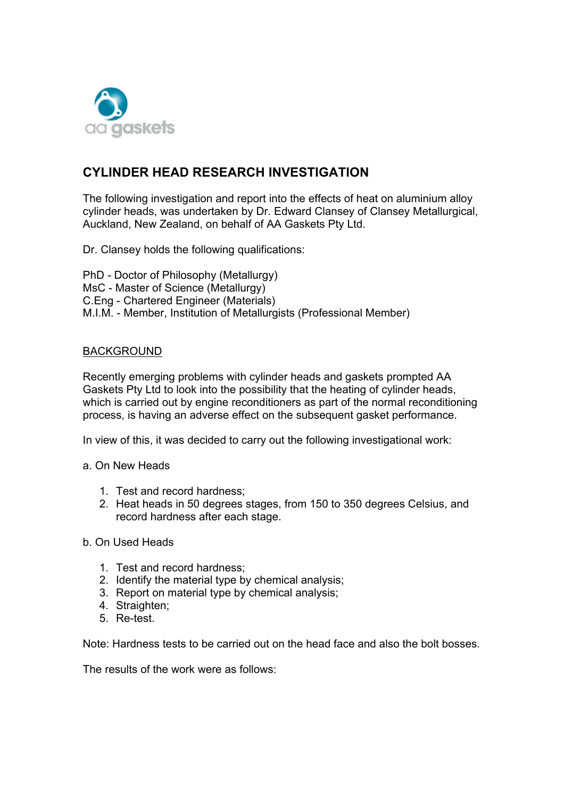

# **CYLINDER HEAD RESEARCH INVESTIGATION**

The following investigation and report into the effects of heat on aluminium alloy cylinder heads, was undertaken by Dr. Edward Clansey of Clansey Metallurgical, Auckland, New Zealand, on behalf of AA Gaskets Pty Ltd.

Dr. Clansey holds the following qualifications:

PhD - Doctor of Philosophy (Metallurgy) MsC - Master of Science (Metallurgy) C.Eng - Chartered Engineer (Materials) M.I.M. - Member, Institution of Metallurgists (Professional Member)

## BACKGROUND

Recently emerging problems with cylinder heads and gaskets prompted AA Gaskets Pty Ltd to look into the possibility that the heating of cylinder heads, which is carried out by engine reconditioners as part of the normal reconditioning process, is having an adverse effect on the subsequent gasket performance.

In view of this, it was decided to carry out the following investigational work:

- a. On New Heads
	- 1. Test and record hardness;
	- 2. Heat heads in 50 degrees stages, from 150 to 350 degrees Celsius, and record hardness after each stage.

### b. On Used Heads

- 1. Test and record hardness;
- 2. Identify the material type by chemical analysis;
- 3. Report on material type by chemical analysis;
- 4. Straighten;
- 5. Re-test.

Note: Hardness tests to be carried out on the head face and also the bolt bosses.

The results of the work were as follows: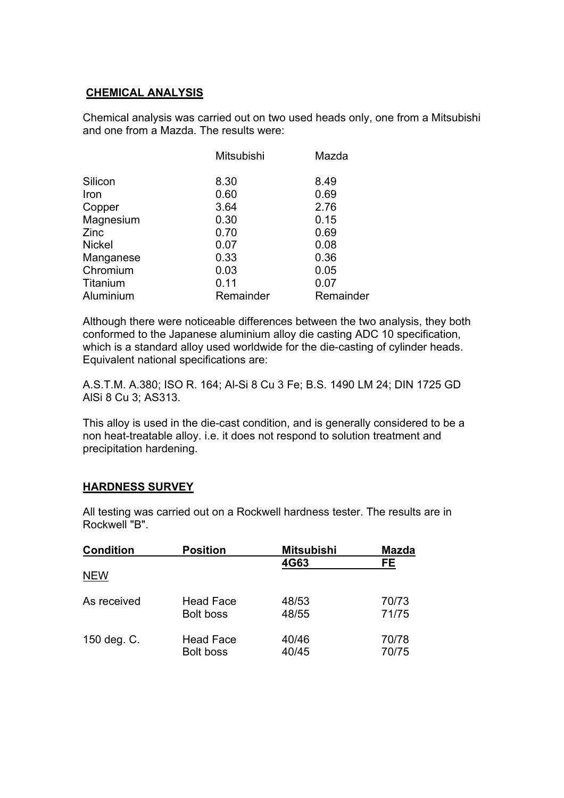# **CHEMICAL ANALYSIS**

Chemical analysis was carried out on two used heads only, one from a Mitsubishi and one from a Mazda. The results were:

|               | Mitsubishi | Mazda     |
|---------------|------------|-----------|
| Silicon       | 8.30       | 8.49      |
| Iron          | 0.60       | 0.69      |
| Copper        | 3.64       | 2.76      |
| Magnesium     | 0.30       | 0.15      |
| Zinc          | 0.70       | 0.69      |
| <b>Nickel</b> | 0.07       | 0.08      |
| Manganese     | 0.33       | 0.36      |
| Chromium      | 0.03       | 0.05      |
| Titanium      | 0.11       | 0.07      |
| Aluminium     | Remainder  | Remainder |

Although there were noticeable differences between the two analysis, they both conformed to the Japanese aluminium alloy die casting ADC 10 specification, which is a standard alloy used worldwide for the die-casting of cylinder heads. Equivalent national specifications are:

A.S.T.M. A.380; ISO R. 164; Al-Si 8 Cu 3 Fe; B.S. 1490 LM 24; DIN 1725 GD AlSi 8 Cu 3; AS313.

This alloy is used in the die-cast condition, and is generally considered to be a non heat-treatable alloy. i.e. it does not respond to solution treatment and precipitation hardening.

# **HARDNESS SURVEY**

All testing was carried out on a Rockwell hardness tester. The results are in Rockwell "B".

| <b>Condition</b> | <b>Position</b>  | <b>Mitsubishi</b> | <b>Mazda</b> |
|------------------|------------------|-------------------|--------------|
| <b>NEW</b>       |                  | 4G63              | FE           |
| As received      | <b>Head Face</b> | 48/53             | 70/73        |
|                  | <b>Bolt boss</b> | 48/55             | 71/75        |
| 150 deg. C.      | <b>Head Face</b> | 40/46             | 70/78        |
|                  | <b>Bolt boss</b> | 40/45             | 70/75        |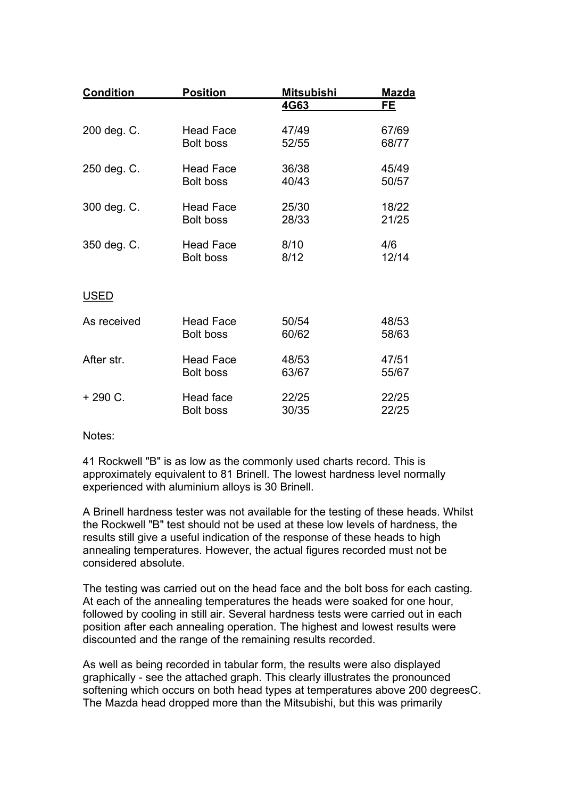| <b>Condition</b> | <b>Position</b>  | <b>Mitsubishi</b> | <b>Mazda</b> |
|------------------|------------------|-------------------|--------------|
|                  |                  | 4G63              | FE.          |
| 200 deg. C.      | <b>Head Face</b> | 47/49             | 67/69        |
|                  | <b>Bolt boss</b> | 52/55             | 68/77        |
| 250 deg. C.      | <b>Head Face</b> | 36/38             | 45/49        |
|                  | <b>Bolt boss</b> | 40/43             | 50/57        |
| 300 deg. C.      | <b>Head Face</b> | 25/30             | 18/22        |
|                  | <b>Bolt boss</b> | 28/33             | 21/25        |
| 350 deg. C.      | <b>Head Face</b> | 8/10              | 4/6          |
|                  | <b>Bolt boss</b> | 8/12              | 12/14        |
| <u>USED</u>      |                  |                   |              |
| As received      | <b>Head Face</b> | 50/54             | 48/53        |
|                  | <b>Bolt boss</b> | 60/62             | 58/63        |
| After str.       | <b>Head Face</b> | 48/53             | 47/51        |
|                  | <b>Bolt boss</b> | 63/67             | 55/67        |
| $+290 C.$        | Head face        | 22/25             | 22/25        |
|                  | <b>Bolt boss</b> | 30/35             | 22/25        |

Notes:

41 Rockwell "B" is as low as the commonly used charts record. This is approximately equivalent to 81 Brinell. The lowest hardness level normally experienced with aluminium alloys is 30 Brinell.

A Brinell hardness tester was not available for the testing of these heads. Whilst the Rockwell "B" test should not be used at these low levels of hardness, the results still give a useful indication of the response of these heads to high annealing temperatures. However, the actual figures recorded must not be considered absolute.

The testing was carried out on the head face and the bolt boss for each casting. At each of the annealing temperatures the heads were soaked for one hour, followed by cooling in still air. Several hardness tests were carried out in each position after each annealing operation. The highest and lowest results were discounted and the range of the remaining results recorded.

As well as being recorded in tabular form, the results were also displayed graphically - see the attached graph. This clearly illustrates the pronounced softening which occurs on both head types at temperatures above 200 degreesC. The Mazda head dropped more than the Mitsubishi, but this was primarily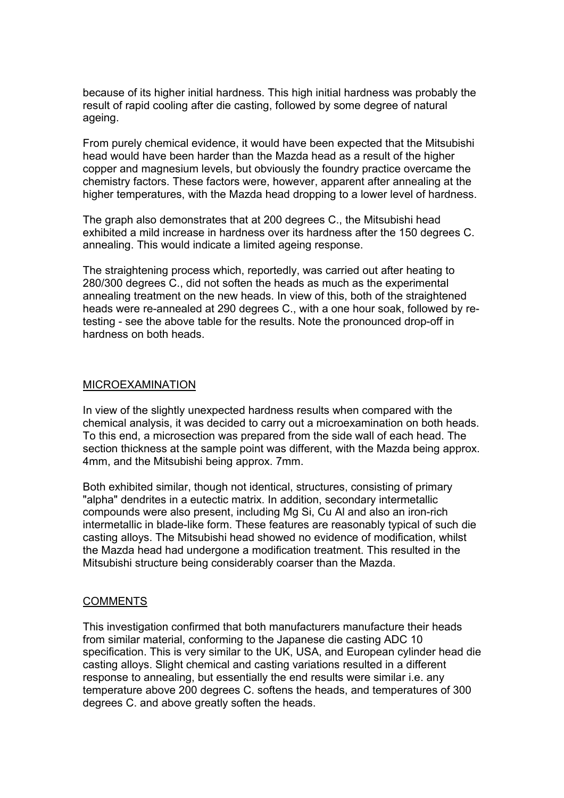because of its higher initial hardness. This high initial hardness was probably the result of rapid cooling after die casting, followed by some degree of natural ageing.

From purely chemical evidence, it would have been expected that the Mitsubishi head would have been harder than the Mazda head as a result of the higher copper and magnesium levels, but obviously the foundry practice overcame the chemistry factors. These factors were, however, apparent after annealing at the higher temperatures, with the Mazda head dropping to a lower level of hardness.

The graph also demonstrates that at 200 degrees C., the Mitsubishi head exhibited a mild increase in hardness over its hardness after the 150 degrees C. annealing. This would indicate a limited ageing response.

The straightening process which, reportedly, was carried out after heating to 280/300 degrees C., did not soften the heads as much as the experimental annealing treatment on the new heads. In view of this, both of the straightened heads were re-annealed at 290 degrees C., with a one hour soak, followed by retesting - see the above table for the results. Note the pronounced drop-off in hardness on both heads.

#### MICROEXAMINATION

In view of the slightly unexpected hardness results when compared with the chemical analysis, it was decided to carry out a microexamination on both heads. To this end, a microsection was prepared from the side wall of each head. The section thickness at the sample point was different, with the Mazda being approx. 4mm, and the Mitsubishi being approx. 7mm.

Both exhibited similar, though not identical, structures, consisting of primary "alpha" dendrites in a eutectic matrix. In addition, secondary intermetallic compounds were also present, including Mg Si, Cu Al and also an iron-rich intermetallic in blade-like form. These features are reasonably typical of such die casting alloys. The Mitsubishi head showed no evidence of modification, whilst the Mazda head had undergone a modification treatment. This resulted in the Mitsubishi structure being considerably coarser than the Mazda.

### **COMMENTS**

This investigation confirmed that both manufacturers manufacture their heads from similar material, conforming to the Japanese die casting ADC 10 specification. This is very similar to the UK, USA, and European cylinder head die casting alloys. Slight chemical and casting variations resulted in a different response to annealing, but essentially the end results were similar i.e. any temperature above 200 degrees C. softens the heads, and temperatures of 300 degrees C. and above greatly soften the heads.